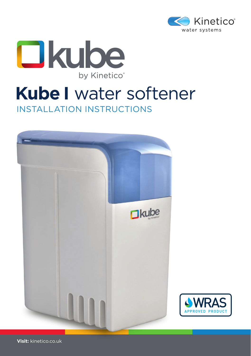



# INSTALLATION INSTRUCTIONS **Kube I** water softener



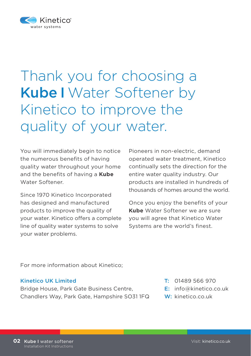

# Thank you for choosing a Kube I Water Softener by Kinetico to improve the quality of your water.

You will immediately begin to notice the numerous benefits of having quality water throughout your home and the benefits of having a **Kube**  Water Softener.

Since 1970 Kinetico Incorporated has designed and manufactured products to improve the quality of your water. Kinetico offers a complete line of quality water systems to solve your water problems.

Pioneers in non-electric, demand operated water treatment, Kinetico continually sets the direction for the entire water quality industry. Our products are installed in hundreds of thousands of homes around the world.

Once you enjoy the benefits of your **Kube** Water Softener we are sure you will agree that Kinetico Water Systems are the world's finest.

For more information about Kinetico;

### Kinetico UK Limited

Bridge House, Park Gate Business Centre, Chandlers Way, Park Gate, Hampshire SO31 1FQ

- T: 01489 566 970
- E: info@kinetico.co.uk
- W: kinetico.co.uk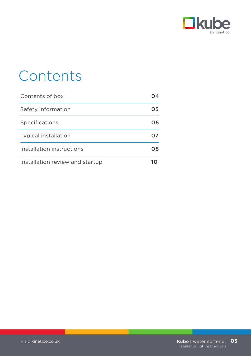

# **Contents**

| Contents of box                 |    |
|---------------------------------|----|
| Safety information              | 05 |
| Specifications                  | 06 |
| <b>Typical installation</b>     | Ω7 |
| Installation instructions       | 08 |
| Installation review and startup |    |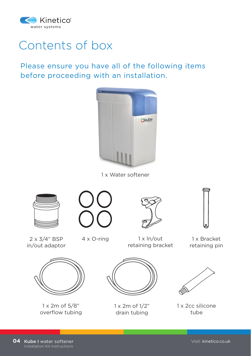

# Contents of box

Please ensure you have all of the following items before proceeding with an installation.



1 x Water softener









 $2 \times 3/4$ " BSP  $4 \times$  O-ring in/out adaptor

1 x In/out retaining bracket

1 x Bracket retaining pin



1 x 2m of 5/8" overflow tubing



1 x 2m of 1/2" drain tubing



1 x 2cc silicone tube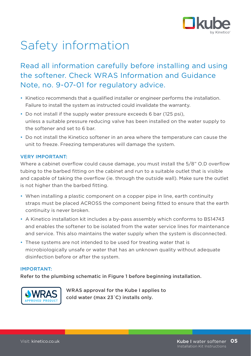

# Safety information

# Read all information carefully before installing and using the softener. Check WRAS Information and Guidance Note, no. 9-07-01 for regulatory advice.

- Kinetico recommends that a qualified installer or engineer performs the installation. Failure to install the system as instructed could invalidate the warranty.
- Do not install if the supply water pressure exceeds 6 bar (125 psi), unless a suitable pressure reducing valve has been installed on the water supply to the softener and set to 6 bar.
- Do not install the Kinetico softener in an area where the temperature can cause the unit to freeze. Freezing temperatures will damage the system.

### VERY IMPORTANT:

Where a cabinet overflow could cause damage, you must install the 5/8" O.D overflow tubing to the barbed fitting on the cabinet and run to a suitable outlet that is visible and capable of taking the overflow (ie. through the outside wall). Make sure the outlet is not higher than the barbed fitting.

- When installing a plastic component on a copper pipe in line, earth continuity straps must be placed ACROSS the component being fitted to ensure that the earth continuity is never broken.
- A Kinetico installation kit includes a by-pass assembly which conforms to BS14743 and enables the softener to be isolated from the water service lines for maintenance and service. This also maintains the water supply when the system is disconnected.
- These systems are not intended to be used for treating water that is microbiologically unsafe or water that has an unknown quality without adequate disinfection before or after the system.

### IMPORTANT:

Refer to the plumbing schematic in Figure 1 before beginning installation.



WRAS approval for the Kube I applies to cold water (max 23˙C) installs only.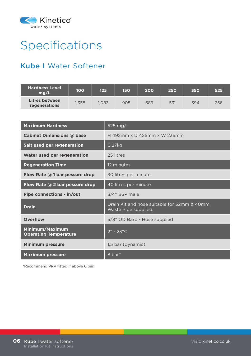

# Specifications

## Kube I Water Softener

| <b>Hardness Level</b><br>mg/L   | 100   | 125   | 150 | 200 | 250 | 350 | 525 |
|---------------------------------|-------|-------|-----|-----|-----|-----|-----|
| Litres between<br>regenerations | 1.358 | 1.083 | 905 | 689 | 531 | 394 | 256 |

| <b>Maximum Hardness</b>                         | 525 $mg/L$                                                           |
|-------------------------------------------------|----------------------------------------------------------------------|
| Cabinet Dimensions @ base                       | H 492mm x D 425mm x W 235mm                                          |
| Salt used per regeneration                      | $0.27$ kg                                                            |
| Water used per regeneration                     | 25 litres                                                            |
| <b>Regeneration Time</b>                        | 12 minutes                                                           |
| Flow Rate $@$ 1 bar pessure drop                | 30 litres per minute                                                 |
| Flow Rate $@$ 2 bar pessure drop                | 40 litres per minute                                                 |
| Pipe connections - in/out                       | 3/4" BSP male                                                        |
| <b>Drain</b>                                    | Drain Kit and hose suitable for 32mm & 40mm.<br>Waste Pipe supplied. |
| Overflow                                        | 5/8" OD Barb - Hose supplied                                         |
| Minimum/Maximum<br><b>Operating Temperature</b> | $2^\circ$ - 23 $^\circ$ C                                            |
| <b>Minimum pressure</b>                         | 1.5 bar (dynamic)                                                    |
| <b>Maximum pressure</b>                         | 8 bar*                                                               |

\*Recommend PRV fitted if above 6 bar.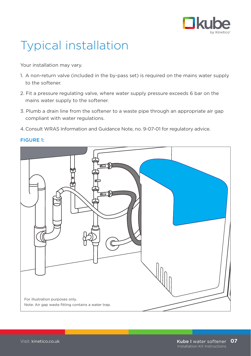

# Typical installation

Your installation may vary.

- 1. A non-return valve (included in the by-pass set) is required on the mains water supply to the softener.
- 2. Fit a pressure regulating valve, where water supply pressure exceeds 6 bar on the mains water supply to the softener.
- 3. Plumb a drain line from the softener to a waste pipe through an appropriate air gap compliant with water regulations.
- 4. Consult WRAS Information and Guidance Note, no. 9-07-01 for regulatory advice.



### FIGURE 1: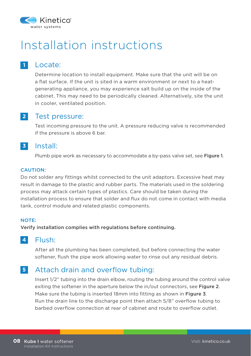

# Installation instructions

## Locate:

**1**

Determine location to install equipment. Make sure that the unit will be on a flat surface. If the unit is sited in a warm environment or next to a heatgenerating appliance, you may experience salt build up on the inside of the cabinet. This may need to be periodically cleaned. Alternatively, site the unit in cooler, ventilated position.

#### Test pressure: **2**

Test incoming pressure to the unit. A pressure reducing valve is recommended if the pressure is above 6 bar.

#### Install: **3**

Plumb pipe work as necessary to accommodate a by-pass valve set, see Figure 1.

### CAUTION:

Do not solder any fittings whilst connected to the unit adaptors. Excessive heat may result in damage to the plastic and rubber parts. The materials used in the soldering process may attack certain types of plastics. Care should be taken during the installation process to ensure that solder and flux do not come in contact with media tank, control module and related plastic components.

### NOTE:

Verify installation complies with regulations before continuing.

#### Flush: **4**

After all the plumbing has been completed, but before connecting the water softener, flush the pipe work allowing water to rinse out any residual debris.

#### Attach drain and overflow tubing: **5**

Insert 1/2" tubing into the drain elbow, routing the tubing around the control valve exiting the softener in the aperture below the in/out connectors, see Figure 2. Make sure the tubing is inserted 18mm into fitting as shown in Figure 3. Run the drain line to the discharge point then attach 5/8" overflow tubing to barbed overflow connection at rear of cabinet and route to overflow outlet.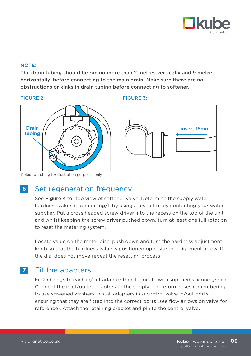

### NOTE:

The drain tubing should be run no more than 2 metres vertically and 9 metres horizontally, before connecting to the main drain. Make sure there are no obstructions or kinks in drain tubing before connecting to softener.







Colour of tubing for illustration purposes only.

#### Set regeneration frequency: **6**

See Figure 4 for top view of softener valve. Determine the supply water hardness value in ppm or mg/L by using a test kit or by contacting your water supplier. Put a cross headed screw driver into the recess on the top of the unit and whilst keeping the screw driver pushed down, turn at least one full rotation to reset the metering system.

Locate value on the meter disc, push down and turn the hardness adjustment knob so that the hardness value is positioned opposite the alignment arrow. If the dial does not move repeat the resetting process.

## Fit the adapters: **7**

Fit 2 O-rings to each in/out adaptor then lubricate with supplied silicone grease. Connect the inlet/outlet adapters to the supply and return hoses remembering to use screened washers. Install adapters into control valve in/out ports, ensuring that they are fitted into the correct ports (see flow arrows on valve for reference). Attach the retaining bracket and pin to the control valve.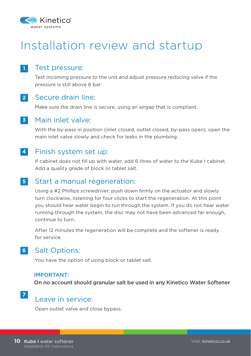

# Installation review and startup

## Test pressure:

Test incoming pressure to the unit and adjust pressure reducing valve if the pressure is still above 6 bar.

## **2**

**1**

## Secure drain line:

Make sure the drain line is secure, using an airgap that is compliant.

#### Main inlet valve: **3**

With the by-pass in position (inlet closed, outlet closed, by-pass open), open the main inlet valve slowly and check for leaks in the plumbing.

#### Finish system set up: **4**

If cabinet does not fill up with water, add 6 litres of water to the Kube I cabinet. Add a quality grade of block or tablet salt.

#### Start a manual regeneration: **5**

Using a #2 Phillips screwdriver, push down firmly on the actuator and slowly turn clockwise, listening for four clicks to start the regeneration. At this point you should hear water begin to run through the system. If you do not hear water running through the system, the disc may not have been advanced far enough, continue to turn.

After 12 minutes the regeneration will be complete and the softener is ready for service.

## **6** Salt Options:

You have the option of using block or tablet salt.

### IMPORTANT:

On no account should granular salt be used in any Kinetico Water Softener

## Leave in service:

Open outlet valve and close bypass.

**7**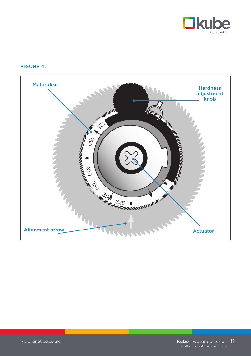

### FIGURE 4: